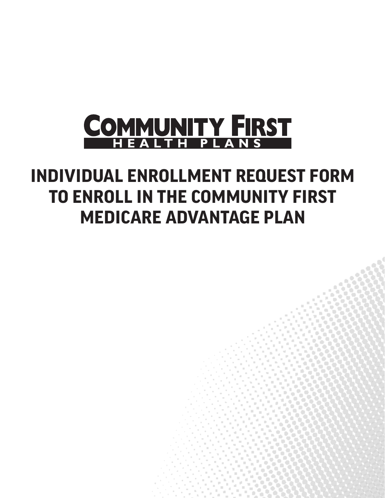

# **INDIVIDUAL ENROLLMENT REQUEST FORM TO ENROLL IN THE COMMUNITY FIRST MEDICARE ADVANTAGE PLAN**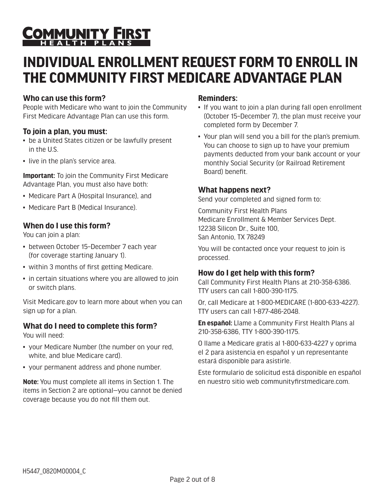# COMMUNITY FIRST

## **INDIVIDUAL ENROLLMENT REQUEST FORM TO ENROLL IN THE COMMUNITY FIRST MEDICARE ADVANTAGE PLAN**

#### **Who can use this form?**

People with Medicare who want to join the Community First Medicare Advantage Plan can use this form.

#### **To join a plan, you must:**

- be a United States citizen or be lawfully present in the U.S.
- live in the plan's service area.

**Important:** To join the Community First Medicare Advantage Plan, you must also have both:

- Medicare Part A (Hospital Insurance), and
- Medicare Part B (Medical Insurance).

#### **When do I use this form?**

You can join a plan:

- between October 15–December 7 each year (for coverage starting January 1).
- within 3 months of first getting Medicare.
- in certain situations where you are allowed to join or switch plans.

Visit Medicare.gov to learn more about when you can sign up for a plan.

#### **What do I need to complete this form?**

You will need:

- your Medicare Number (the number on your red, white, and blue Medicare card).
- your permanent address and phone number.

**Note:** You must complete all items in Section 1. The items in Section 2 are optional—you cannot be denied coverage because you do not fill them out.

#### **Reminders:**

- If you want to join a plan during fall open enrollment (October 15–December 7), the plan must receive your completed form by December 7.
- Your plan will send you a bill for the plan's premium. You can choose to sign up to have your premium payments deducted from your bank account or your monthly Social Security (or Railroad Retirement Board) benefit.

#### **What happens next?**

Send your completed and signed form to:

Community First Health Plans Medicare Enrollment & Member Services Dept. 12238 Silicon Dr., Suite 100, San Antonio, TX 78249

You will be contacted once your request to join is processed.

#### **How do I get help with this form?**

Call Community First Health Plans at 210-358-6386. TTY users can call 1-800-390-1175.

Or, call Medicare at 1-800-MEDICARE (1-800-633-4227). TTY users can call 1-877-486-2048.

**En español:** Llame a Community First Health Plans al 210-358-6386, TTY 1-800-390-1175.

O llame a Medicare gratis al 1-800-633-4227 y oprima el 2 para asistencia en español y un representante estará disponible para asistirle.

Este formulario de solicitud está disponible en español en nuestro sitio web communityfirstmedicare.com.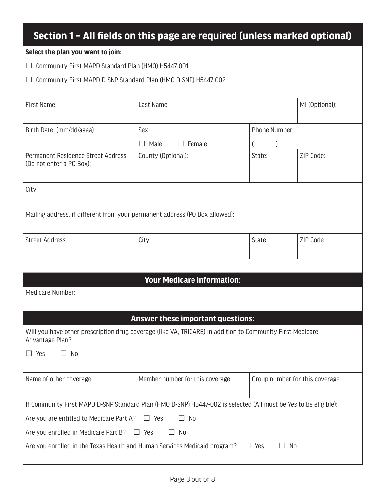### **Section 1 – All fields on this page are required (unless marked optional)**

#### **Select the plan you want to join:**

Community First MAPD Standard Plan (HMO) H5447-001

Community First MAPD D-SNP Standard Plan (HMO D-SNP) H5447-002

| First Name:                                                                                                                  | Last Name:                        |                                 | MI (Optional): |  |  |
|------------------------------------------------------------------------------------------------------------------------------|-----------------------------------|---------------------------------|----------------|--|--|
|                                                                                                                              |                                   |                                 |                |  |  |
| Birth Date: (mm/dd/aaaa)                                                                                                     | Sex:                              | Phone Number:                   |                |  |  |
|                                                                                                                              | Female<br>$\Box$ Male             |                                 |                |  |  |
| Permanent Residence Street Address<br>(Do not enter a PO Box):                                                               | County (Optional):                | State:                          | ZIP Code:      |  |  |
| City                                                                                                                         |                                   |                                 |                |  |  |
| Mailing address, if different from your permanent address (PO Box allowed):                                                  |                                   |                                 |                |  |  |
| <b>Street Address:</b>                                                                                                       | City:                             | State:                          | ZIP Code:      |  |  |
|                                                                                                                              |                                   |                                 |                |  |  |
|                                                                                                                              | <b>Your Medicare information:</b> |                                 |                |  |  |
| Medicare Number:                                                                                                             |                                   |                                 |                |  |  |
|                                                                                                                              |                                   |                                 |                |  |  |
|                                                                                                                              | Answer these important questions: |                                 |                |  |  |
| Will you have other prescription drug coverage (like VA, TRICARE) in addition to Community First Medicare<br>Advantage Plan? |                                   |                                 |                |  |  |
| $\Box$ No<br>$\Box$ Yes                                                                                                      |                                   |                                 |                |  |  |
| Name of other coverage:                                                                                                      | Member number for this coverage:  | Group number for this coverage: |                |  |  |
| If Community First MAPD D-SNP Standard Plan (HMO D-SNP) H5447-002 is selected (All must be Yes to be eligible):              |                                   |                                 |                |  |  |
| <b>No</b><br>Are you are entitled to Medicare Part A?<br>$\Box$ Yes<br>П                                                     |                                   |                                 |                |  |  |
| Are you enrolled in Medicare Part B?<br>$\Box$ No<br>$\Box$ Yes                                                              |                                   |                                 |                |  |  |
| Are you enrolled in the Texas Health and Human Services Medicaid program?<br>$\Box$ Yes<br>No                                |                                   |                                 |                |  |  |
|                                                                                                                              |                                   |                                 |                |  |  |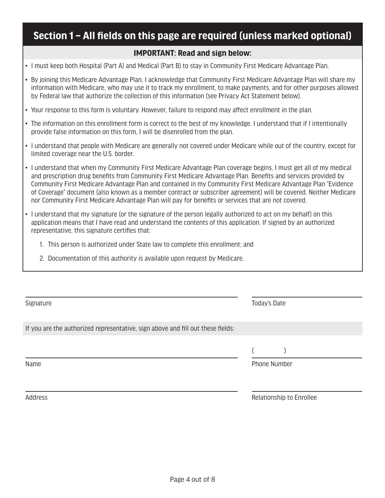### **Section 1 – All fields on this page are required (unless marked optional)**

#### **IMPORTANT: Read and sign below:**

- I must keep both Hospital (Part A) and Medical (Part B) to stay in Community First Medicare Advantage Plan.
- By joining this Medicare Advantage Plan, I acknowledge that Community First Medicare Advantage Plan will share my information with Medicare, who may use it to track my enrollment, to make payments, and for other purposes allowed by Federal law that authorize the collection of this information (see Privacy Act Statement below).
- Your response to this form is voluntary. However, failure to respond may affect enrollment in the plan.
- The information on this enrollment form is correct to the best of my knowledge. I understand that if I intentionally provide false information on this form, I will be disenrolled from the plan.
- I understand that people with Medicare are generally not covered under Medicare while out of the country, except for limited coverage near the U.S. border.
- I understand that when my Community First Medicare Advantage Plan coverage begins, I must get all of my medical and prescription drug benefits from Community First Medicare Advantage Plan. Benefits and services provided by Community First Medicare Advantage Plan and contained in my Community First Medicare Advantage Plan "Evidence of Coverage" document (also known as a member contract or subscriber agreement) will be covered. Neither Medicare nor Community First Medicare Advantage Plan will pay for benefits or services that are not covered.
- I understand that my signature (or the signature of the person legally authorized to act on my behalf) on this application means that I have read and understand the contents of this application. If signed by an authorized representative, this signature certifies that:
	- 1. This person is authorized under State law to complete this enrollment; and
	- 2. Documentation of this authority is available upon request by Medicare.

| Signature                                                                       |                     | Today's Date |  |
|---------------------------------------------------------------------------------|---------------------|--------------|--|
| If you are the authorized representative, sign above and fill out these fields: |                     |              |  |
|                                                                                 |                     |              |  |
| Name                                                                            | <b>Phone Number</b> |              |  |

Address **Relationship to Enrollee** Relationship to Enrollee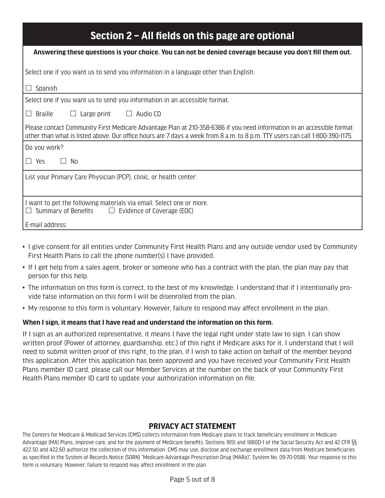| Section 2 – All fields on this page are optional                                                                                                                                                                                                       |  |  |  |  |
|--------------------------------------------------------------------------------------------------------------------------------------------------------------------------------------------------------------------------------------------------------|--|--|--|--|
| Answering these questions is your choice. You can not be denied coverage because you don't fill them out.                                                                                                                                              |  |  |  |  |
| Select one if you want us to send you information in a language other than English.                                                                                                                                                                    |  |  |  |  |
| Spanish                                                                                                                                                                                                                                                |  |  |  |  |
| Select one if you want us to send you information in an accessible format.                                                                                                                                                                             |  |  |  |  |
| $\Box$ Braille<br>$\Box$ Large print $\Box$ Audio CD                                                                                                                                                                                                   |  |  |  |  |
| Please contact Community First Medicare Advantage Plan at 210-358-6386 if you need information in an accessible format<br>other than what is listed above. Our office hours are 7 days a week from 8 a.m. to 8 p.m. TTY users can call 1-800-390-1175. |  |  |  |  |
| Do you work?                                                                                                                                                                                                                                           |  |  |  |  |
| $\Box$ Yes<br>No.<br>$\Box$                                                                                                                                                                                                                            |  |  |  |  |
| List your Primary Care Physician (PCP), clinic, or health center:                                                                                                                                                                                      |  |  |  |  |
| I want to get the following materials via email. Select one or more.<br>Summary of Benefits $\Box$ Evidence of Coverage (EOC)                                                                                                                          |  |  |  |  |
| E-mail address:                                                                                                                                                                                                                                        |  |  |  |  |

- I give consent for all entities under Community First Health Plans and any outside vendor used by Community First Health Plans to call the phone number(s) I have provided.
- If I get help from a sales agent, broker or someone who has a contract with the plan, the plan may pay that person for this help.
- The information on this form is correct, to the best of my knowledge. I understand that if I intentionally provide false information on this form I will be disenrolled from the plan.
- My response to this form is voluntary. However, failure to respond may affect enrollment in the plan.

#### **When I sign, it means that I have read and understand the information on this form.**

If I sign as an authorized representative, it means I have the legal right under state law to sign. I can show written proof (Power of attorney, guardianship, etc.) of this right if Medicare asks for it. I understand that I will need to submit written proof of this right, to the plan, if I wish to take action on behalf of the member beyond this application. After this application has been approved and you have received your Community First Health Plans member ID card, please call our Member Services at the number on the back of your Community First Health Plans member ID card to update your authorization information on file.

#### **PRIVACY ACT STATEMENT**

The Centers for Medicare & Medicaid Services (CMS) collects information from Medicare plans to track beneficiary enrollment in Medicare Advantage (MA) Plans, improve care, and for the payment of Medicare benefits. Sections 1851 and 1860D-1 of the Social Security Act and 42 CFR §§ 422.50 and 422.60 authorize the collection of this information. CMS may use, disclose and exchange enrollment data from Medicare beneficiaries as specified in the System of Records Notice (SORN) "Medicare Advantage Prescription Drug (MARx)", System No. 09-70-0588. Your response to this form is voluntary. However, failure to respond may affect enrollment in the plan.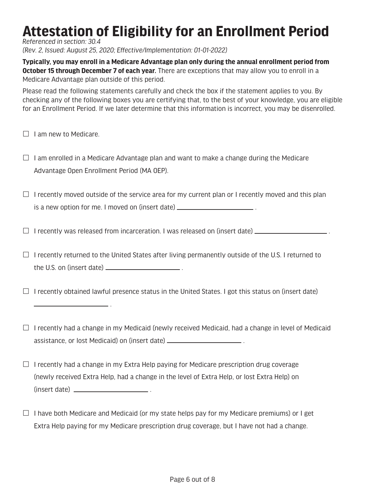## **Attestation of Eligibility for an Enrollment Period**

*Referenced in section: 30.4*

*(Rev. 2, Issued: August 25, 2020; Effective/Implementation: 01-01-2022)*

**Typically, you may enroll in a Medicare Advantage plan only during the annual enrollment period from October 15 through December 7 of each year.** There are exceptions that may allow you to enroll in a Medicare Advantage plan outside of this period.

Please read the following statements carefully and check the box if the statement applies to you. By checking any of the following boxes you are certifying that, to the best of your knowledge, you are eligible for an Enrollment Period. If we later determine that this information is incorrect, you may be disenrolled.

 $\Box$  I am new to Medicare.

 $\Box$  I am enrolled in a Medicare Advantage plan and want to make a change during the Medicare Advantage Open Enrollment Period (MA OEP).

 $\Box$  I recently moved outside of the service area for my current plan or I recently moved and this plan is a new option for me. I moved on (insert date) \_\_\_\_\_\_\_\_\_\_\_\_\_\_\_\_\_\_\_\_\_\_\_\_\_.

 $\Box$  I recently was released from incarceration. I was released on (insert date)  $\Box$  .

 $\Box$  I recently returned to the United States after living permanently outside of the U.S. I returned to the U.S. on (insert date)  $\frac{1}{1}$  .

 $\Box$  I recently obtained lawful presence status in the United States. I got this status on (insert date)

.

 $\Box$  I recently had a change in my Medicaid (newly received Medicaid, had a change in level of Medicaid assistance, or lost Medicaid) on (insert date) .

- $\Box$  I recently had a change in my Extra Help paying for Medicare prescription drug coverage (newly received Extra Help, had a change in the level of Extra Help, or lost Extra Help) on (insert date) .
- $\Box$  I have both Medicare and Medicaid (or my state helps pay for my Medicare premiums) or I get Extra Help paying for my Medicare prescription drug coverage, but I have not had a change.